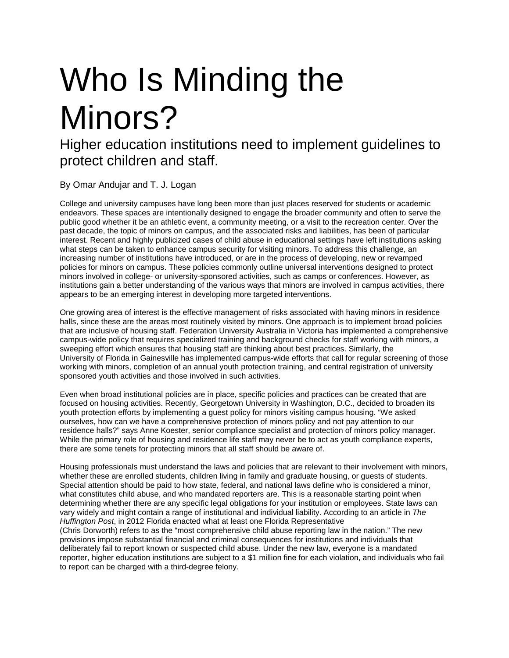## Who Is Minding the Minors?

Higher education institutions need to implement guidelines to protect children and staff.

By Omar Andujar and T. J. Logan

College and university campuses have long been more than just places reserved for students or academic endeavors. These spaces are intentionally designed to engage the broader community and often to serve the public good whether it be an athletic event, a community meeting, or a visit to the recreation center. Over the past decade, the topic of minors on campus, and the associated risks and liabilities, has been of particular interest. Recent and highly publicized cases of child abuse in educational settings have left institutions asking what steps can be taken to enhance campus security for visiting minors. To address this challenge, an increasing number of institutions have introduced, or are in the process of developing, new or revamped policies for minors on campus. These policies commonly outline universal interventions designed to protect minors involved in college- or university-sponsored activities, such as camps or conferences. However, as institutions gain a better understanding of the various ways that minors are involved in campus activities, there appears to be an emerging interest in developing more targeted interventions.

One growing area of interest is the effective management of risks associated with having minors in residence halls, since these are the areas most routinely visited by minors. One approach is to implement broad policies that are inclusive of housing staff. Federation University Australia in Victoria has implemented a comprehensive campus-wide policy that requires specialized training and background checks for staff working with minors, a sweeping effort which ensures that housing staff are thinking about best practices. Similarly, the University of Florida in Gainesville has implemented campus-wide efforts that call for regular screening of those working with minors, completion of an annual youth protection training, and central registration of university sponsored youth activities and those involved in such activities.

Even when broad institutional policies are in place, specific policies and practices can be created that are focused on housing activities. Recently, Georgetown University in Washington, D.C., decided to broaden its youth protection efforts by implementing a guest policy for minors visiting campus housing. "We asked ourselves, how can we have a comprehensive protection of minors policy and not pay attention to our residence halls?" says Anne Koester, senior compliance specialist and protection of minors policy manager. While the primary role of housing and residence life staff may never be to act as youth compliance experts, there are some tenets for protecting minors that all staff should be aware of.

Housing professionals must understand the laws and policies that are relevant to their involvement with minors, whether these are enrolled students, children living in family and graduate housing, or guests of students. Special attention should be paid to how state, federal, and national laws define who is considered a minor, what constitutes child abuse, and who mandated reporters are. This is a reasonable starting point when determining whether there are any specific legal obligations for your institution or employees. State laws can vary widely and might contain a range of institutional and individual liability. According to an article in *The Huffington Post*, in 2012 Florida enacted what at least one Florida Representative (Chris Dorworth) refers to as the "most comprehensive child abuse reporting law in the nation." The new provisions impose substantial financial and criminal consequences for institutions and individuals that deliberately fail to report known or suspected child abuse. Under the new law, everyone is a mandated reporter, higher education institutions are subject to a \$1 million fine for each violation, and individuals who fail to report can be charged with a third-degree felony.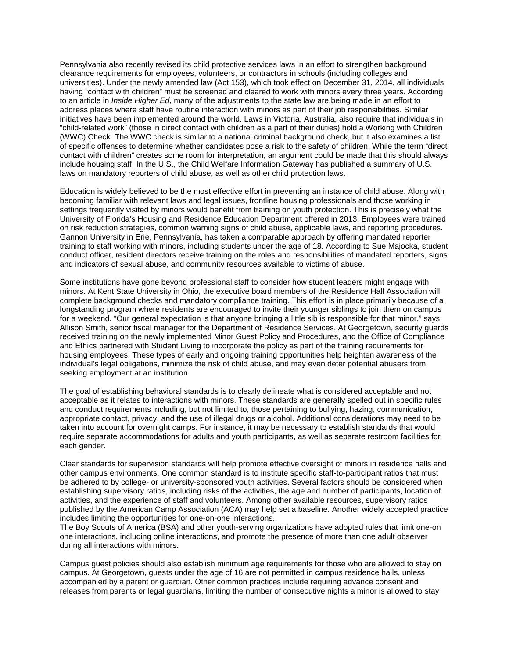Pennsylvania also recently revised its child protective services laws in an effort to strengthen background clearance requirements for employees, volunteers, or contractors in schools (including colleges and universities). Under the newly amended law (Act 153), which took effect on December 31, 2014, all individuals having "contact with children" must be screened and cleared to work with minors every three years. According to an article in *Inside Higher Ed*, many of the adjustments to the state law are being made in an effort to address places where staff have routine interaction with minors as part of their job responsibilities. Similar initiatives have been implemented around the world. Laws in Victoria, Australia, also require that individuals in "child-related work" (those in direct contact with children as a part of their duties) hold a Working with Children (WWC) Check. The WWC check is similar to a national criminal background check, but it also examines a list of specific offenses to determine whether candidates pose a risk to the safety of children. While the term "direct contact with children" creates some room for interpretation, an argument could be made that this should always include housing staff. In the U.S., the Child Welfare Information Gateway has published a summary of U.S. laws on mandatory reporters of child abuse, as well as other child protection laws.

Education is widely believed to be the most effective effort in preventing an instance of child abuse. Along with becoming familiar with relevant laws and legal issues, frontline housing professionals and those working in settings frequently visited by minors would benefit from training on youth protection. This is precisely what the University of Florida's Housing and Residence Education Department offered in 2013. Employees were trained on risk reduction strategies, common warning signs of child abuse, applicable laws, and reporting procedures. Gannon University in Erie, Pennsylvania, has taken a comparable approach by offering mandated reporter training to staff working with minors, including students under the age of 18. According to Sue Majocka, student conduct officer, resident directors receive training on the roles and responsibilities of mandated reporters, signs and indicators of sexual abuse, and community resources available to victims of abuse.

Some institutions have gone beyond professional staff to consider how student leaders might engage with minors. At Kent State University in Ohio, the executive board members of the Residence Hall Association will complete background checks and mandatory compliance training. This effort is in place primarily because of a longstanding program where residents are encouraged to invite their younger siblings to join them on campus for a weekend. "Our general expectation is that anyone bringing a little sib is responsible for that minor," says Allison Smith, senior fiscal manager for the Department of Residence Services. At Georgetown, security guards received training on the newly implemented Minor Guest Policy and Procedures, and the Office of Compliance and Ethics partnered with Student Living to incorporate the policy as part of the training requirements for housing employees. These types of early and ongoing training opportunities help heighten awareness of the individual's legal obligations, minimize the risk of child abuse, and may even deter potential abusers from seeking employment at an institution.

The goal of establishing behavioral standards is to clearly delineate what is considered acceptable and not acceptable as it relates to interactions with minors. These standards are generally spelled out in specific rules and conduct requirements including, but not limited to, those pertaining to bullying, hazing, communication, appropriate contact, privacy, and the use of illegal drugs or alcohol. Additional considerations may need to be taken into account for overnight camps. For instance, it may be necessary to establish standards that would require separate accommodations for adults and youth participants, as well as separate restroom facilities for each gender.

Clear standards for supervision standards will help promote effective oversight of minors in residence halls and other campus environments. One common standard is to institute specific staff-to-participant ratios that must be adhered to by college- or university-sponsored youth activities. Several factors should be considered when establishing supervisory ratios, including risks of the activities, the age and number of participants, location of activities, and the experience of staff and volunteers. Among other available resources, supervisory ratios published by the American Camp Association (ACA) may help set a baseline. Another widely accepted practice includes limiting the opportunities for one-on-one interactions.

The Boy Scouts of America (BSA) and other youth-serving organizations have adopted rules that limit one-on one interactions, including online interactions, and promote the presence of more than one adult observer during all interactions with minors.

Campus guest policies should also establish minimum age requirements for those who are allowed to stay on campus. At Georgetown, guests under the age of 16 are not permitted in campus residence halls, unless accompanied by a parent or guardian. Other common practices include requiring advance consent and releases from parents or legal guardians, limiting the number of consecutive nights a minor is allowed to stay